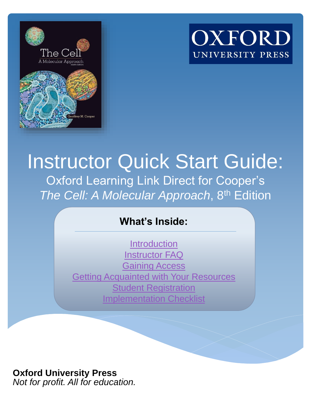



### Instructor Quick Start Guide: Oxford Learning Link Direct for Cooper's *The Cell: A Molecular Approach*, 8th Edition

### **What's Inside:**

**[Introduction](#page-1-0)** [Instructor FAQ](#page-3-0) [Gaining Access](#page-6-0) [Getting Acquainted with Your Resources](#page-9-0) [Student Registration](#page-13-0)  [Implementation Checklist](#page-17-0)

### **Oxford University Press**

*Not for profit. All for education.*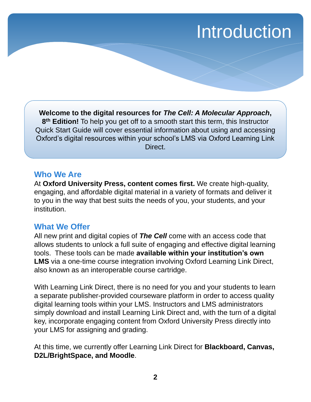### Introduction

<span id="page-1-0"></span>**Welcome to the digital resources for** *The Cell: A Molecular Approach***, 8 th Edition!** To help you get off to a smooth start this term, this Instructor Quick Start Guide will cover essential information about using and accessing Oxford's digital resources within your school's LMS via Oxford Learning Link Direct.

### **Who We Are**

At **Oxford University Press, content comes first.** We create high-quality, engaging, and affordable digital material in a variety of formats and deliver it to you in the way that best suits the needs of you, your students, and your institution.

### **What We Offer**

All new print and digital copies of *The Cell* come with an access code that allows students to unlock a full suite of engaging and effective digital learning tools. These tools can be made **available within your institution's own LMS** via a one-time course integration involving Oxford Learning Link Direct, also known as an interoperable course cartridge.

With Learning Link Direct, there is no need for you and your students to learn a separate publisher-provided courseware platform in order to access quality digital learning tools within your LMS. Instructors and LMS administrators simply download and install Learning Link Direct and, with the turn of a digital key, incorporate engaging content from Oxford University Press directly into your LMS for assigning and grading.

At this time, we currently offer Learning Link Direct for **Blackboard, Canvas, D2L/BrightSpace, and Moodle**.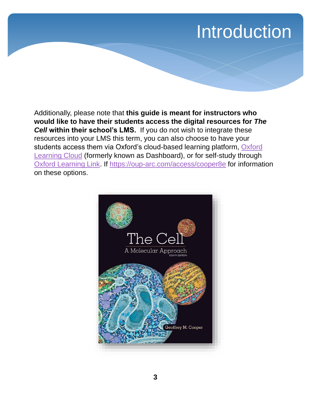### Introduction

Additionally, please note that **this guide is meant for instructors who would like to have their students access the digital resources for** *The*  **Cell within their school's LMS.** If you do not wish to integrate these resources into your LMS this term, you can also choose to have your [students access them via Oxford's cloud-based learning platform, Oxford](http://dashboard.oup.com/) Learning Cloud (formerly known as Dashboard), or for self-study through [Oxford Learning Link.](https://oup-arc.com/) If<https://oup-arc.com/access/cooper8e> for information on these options.

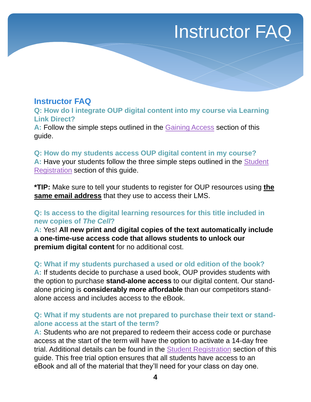### Instructor FAQ

### <span id="page-3-0"></span>**Instructor FAQ**

**Q: How do I integrate OUP digital content into my course via Learning Link Direct?**

**A:** Follow the simple steps outlined in the [Gaining Access](#page-6-0) section of this guide.

#### **Q: How do my students access OUP digital content in my course?**

**A:** [Have your students follow the three simple steps outlined in the Student](#page-11-0) Registration section of this guide.

**\*TIP:** Make sure to tell your students to register for OUP resources using **the same email address** that they use to access their LMS.

#### **Q: Is access to the digital learning resources for this title included in new copies of** *The Cell***?**

**A:** Yes! **All new print and digital copies of the text automatically include a one-time-use access code that allows students to unlock our premium digital content** for no additional cost.

#### **Q: What if my students purchased a used or old edition of the book?**

**A:** If students decide to purchase a used book, OUP provides students with the option to purchase **stand-alone access** to our digital content. Our standalone pricing is **considerably more affordable** than our competitors standalone access and includes access to the eBook.

#### **Q: What if my students are not prepared to purchase their text or standalone access at the start of the term?**

**A:** Students who are not prepared to redeem their access code or purchase access at the start of the term will have the option to activate a 14-day free trial. Additional details can be found in the Student Registration section of this guide. This free trial option ensures that all students have access to an eBook and all of the material that they'll need for your class on day one.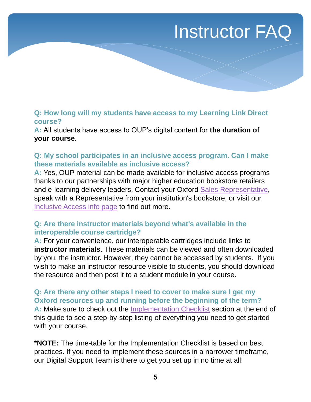### Instructor FAQ

#### **Q: How long will my students have access to my Learning Link Direct course?**

**A:** All students have access to OUP's digital content for **the duration of your course**.

### **Q: My school participates in an inclusive access program. Can I make these materials available as inclusive access?**

**A:** Yes, OUP material can be made available for inclusive access programs thanks to our partnerships with major higher education bookstore retailers and e-learning delivery leaders. Contact your Oxford [Sales Representative](https://global.oup.com/ushe/find-your-rep/), speak with a Representative from your institution's bookstore, or visit our [Inclusive Access info page](https://pages.oup.com/he/us/OUP-InclusiveAccess) to find out more.

#### **Q: Are there instructor materials beyond what's available in the interoperable course cartridge?**

**A:** For your convenience, our interoperable cartridges include links to **instructor materials**. These materials can be viewed and often downloaded by you, the instructor. However, they cannot be accessed by students. If you wish to make an instructor resource visible to students, you should download the resource and then post it to a student module in your course.

#### **Q: Are there any other steps I need to cover to make sure I get my Oxford resources up and running before the beginning of the term?**

**A:** Make sure to check out the [Implementation Checklist](#page-18-0) section at the end of this guide to see a step-by-step listing of everything you need to get started with your course.

**\*NOTE:** The time-table for the Implementation Checklist is based on best practices. If you need to implement these sources in a narrower timeframe, our Digital Support Team is there to get you set up in no time at all!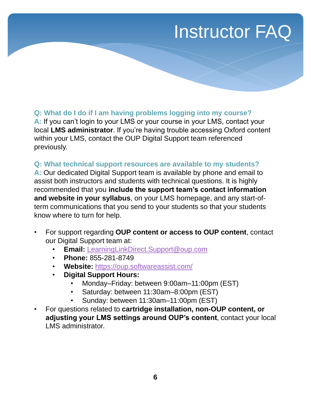### Instructor FAQ

### **Q: What do I do if I am having problems logging into my course?**

**A:** If you can't login to your LMS or your course in your LMS, contact your local **LMS administrator**. If you're having trouble accessing Oxford content within your LMS, contact the OUP Digital Support team referenced previously.

#### **Q: What technical support resources are available to my students?**

**A:** Our dedicated Digital Support team is available by phone and email to assist both instructors and students with technical questions. It is highly recommended that you **include the support team's contact information and website in your syllabus**, on your LMS homepage, and any start-ofterm communications that you send to your students so that your students know where to turn for help.

- For support regarding **OUP content or access to OUP content**, contact our Digital Support team at:
	- **Email:** [LearningLinkDirect.Support@oup.com](mailto:Dashboard.LearningLinkDirect.Support@oup.com)
	- **Phone:** 855-281-8749
	- **Website:** <https://oup.softwareassist.com/>
	- **Digital Support Hours:**
		- Monday–Friday: between 9:00am–11:00pm (EST)
		- Saturday: between 11:30am–8:00pm (EST)
		- Sunday: between 11:30am–11:00pm (EST)
- For questions related to **cartridge installation, non-OUP content, or adjusting your LMS settings around OUP's content**, contact your local LMS administrator.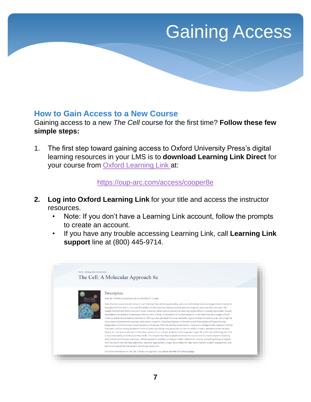### Gaining Access

### <span id="page-6-0"></span>**How to Gain Access to a New Course**

Gaining access to a new *The Cell* course for the first time? **Follow these few simple steps:**

1. The first step toward gaining access to Oxford University Press's digital learning resources in your LMS is to **download Learning Link Direct** for your course from [Oxford Learning Link](https://oup-arc.com/access/todd2e) at:

#### <https://oup-arc.com/access/cooper8e>

- **2. Log into Oxford Learning Link** for your title and access the instructor resources.
	- Note: If you don't have a Learning Link account, follow the prompts to create an account.
	- If you have any trouble accessing Learning Link, call **Learning Link support** line at (800) 445-9714.

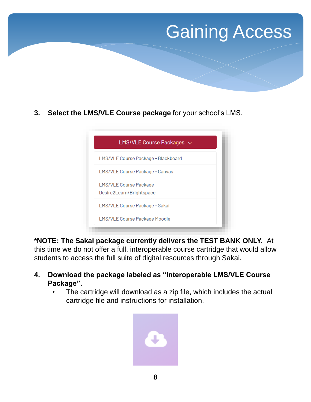### Gaining Access

**3. Select the LMS/VLE Course package** for your school's LMS.

| LMS/VLE Course Packages $\sim$                       |  |
|------------------------------------------------------|--|
| LMS/VLE Course Package - Blackboard                  |  |
| LMS/VLE Course Package - Canvas                      |  |
| LMS/VLE Course Package -<br>Desire2Learn/Brightspace |  |
| LMS/VLE Course Package - Sakai                       |  |
| LMS/VLE Course Package Moodle                        |  |

**\*NOTE: The Sakai package currently delivers the TEST BANK ONLY.** At this time we do not offer a full, interoperable course cartridge that would allow students to access the full suite of digital resources through Sakai.

- **4. Download the package labeled as "Interoperable LMS/VLE Course Package".** 
	- The cartridge will download as a zip file, which includes the actual cartridge file and instructions for installation.

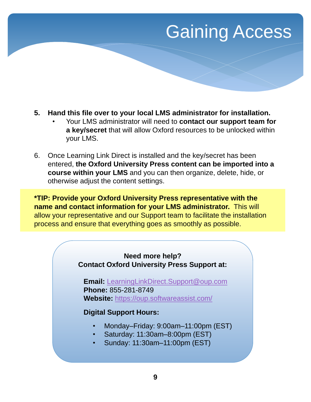### **Gaining Access**

- **5. Hand this file over to your local LMS administrator for installation.** 
	- Your LMS administrator will need to **contact our support team for a key/secret** that will allow Oxford resources to be unlocked within your LMS.
- 6. Once Learning Link Direct is installed and the key/secret has been entered, **the Oxford University Press content can be imported into a course within your LMS** and you can then organize, delete, hide, or otherwise adjust the content settings.

**\*TIP: Provide your Oxford University Press representative with the name and contact information for your LMS administrator.** This will allow your representative and our Support team to facilitate the installation process and ensure that everything goes as smoothly as possible.

#### **Need more help? Contact Oxford University Press Support at:**

**Email:** [LearningLinkDirect.Support@oup.com](mailto:LearningLinkDirect.Support@oup.com) **Phone:** 855-281-8749 **Website:** <https://oup.softwareassist.com/>

### **Digital Support Hours:**

- Monday–Friday: 9:00am–11:00pm (EST)
- Saturday: 11:30am–8:00pm (EST)
- Sunday: 11:30am–11:00pm (EST)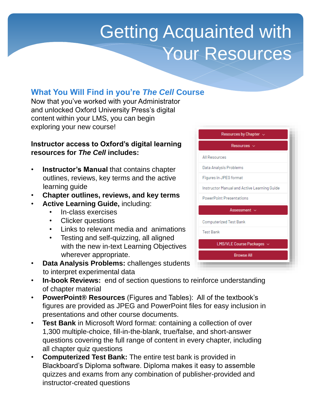# Getting Acquainted with Your Resources

### <span id="page-9-0"></span>**What You Will Find in you're** *The Cell* **Course**

Now that you've worked with your Administrator and unlocked Oxford University Press's digital content within your LMS, you can begin exploring your new course!

#### **Instructor access to Oxford's digital learning resources for** *The Cell* **includes:**

- **Instructor's Manual** that contains chapter outlines, reviews, key terms and the active learning guide
- **Chapter outlines, reviews, and key terms**
- **Active Learning Guide,** including:
	- In-class exercises
	- Clicker questions
	- Links to relevant media and animations
	- Testing and self-quizzing, all aligned with the new in-text Learning Objectives wherever appropriate.
- **Data Analysis Problems:** challenges students to interpret experimental data
- Resources by Chapter  $\sim$ Resources  $\sim$ **All Resources** Data Analysis Problems Figures in JPEG format Instructor Manual and Active Learning Guide **PowerPoint Presentations** Assessment  $\sim$ **Computerized Test Bank Test Bank** LMS/VLE Course Packages ~ **Browse All**
- **In-book Reviews:** end of section questions to reinforce understanding of chapter material
- **PowerPoint® Resources** (Figures and Tables): All of the textbook's figures are provided as JPEG and PowerPoint files for easy inclusion in presentations and other course documents.
- **Test Bank** in Microsoft Word format: containing a collection of over 1,300 multiple-choice, fill-in-the-blank, true/false, and short-answer questions covering the full range of content in every chapter, including all chapter quiz questions
- **Computerized Test Bank:** The entire test bank is provided in Blackboard's Diploma software. Diploma makes it easy to assemble quizzes and exams from any combination of publisher-provided and instructor-created questions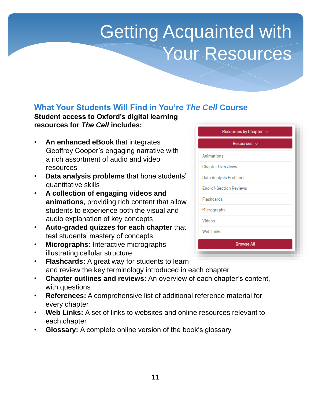# **Getting Acquainted with** Your Resources

### **What Your Students Will Find in You're** *The Cell* **Course**

### **Student access to Oxford's digital learning resources for** *The Cell* **includes:**

- **An enhanced eBook** that integrates Geoffrey Cooper's engaging narrative with a rich assortment of audio and video resources
- **Data analysis problems** that hone students' quantitative skills
- **A collection of engaging videos and animations**, providing rich content that allow students to experience both the visual and audio explanation of key concepts
- **Auto-graded quizzes for each chapter** that test students' mastery of concepts
- **Micrographs:** Interactive micrographs illustrating cellular structure

| Resources by Chapter $\sim$   |
|-------------------------------|
| Resources $\sim$              |
| Animations                    |
| Chapter Overviews             |
| Data Analysis Problems        |
| <b>End-of-Section Reviews</b> |
| Flashcards                    |
| Micrographs                   |
| Videos                        |
| Web Links                     |
| <b>Browse All</b>             |
|                               |

- **Flashcards:** A great way for students to learn and review the key terminology introduced in each chapter
- **Chapter outlines and reviews:** An overview of each chapter's content, with questions
- **References:** A comprehensive list of additional reference material for every chapter
- **Web Links:** A set of links to websites and online resources relevant to each chapter
- **Glossary:** A complete online version of the book's glossary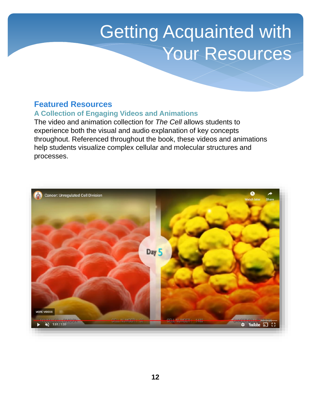# <span id="page-11-0"></span>Getting Acquainted with Your Resources

### **Featured Resources**

#### **A Collection of Engaging Videos and Animations**

The video and animation collection for *The Cell* allows students to experience both the visual and audio explanation of key concepts throughout. Referenced throughout the book, these videos and animations help students visualize complex cellular and molecular structures and processes.

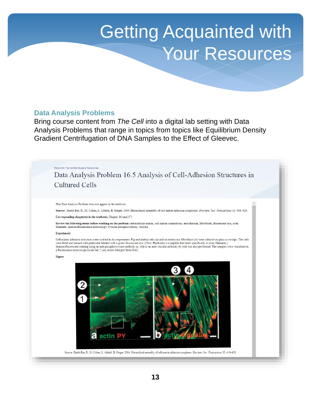# Getting Acquainted with Your Resources

#### **Data Analysis Problems**

Bring course content from *The Cell* into a digital lab setting with Data Analysis Problems that range in topics from topics like Equilibrium Density Gradient Centrifugation of DNA Samples to the Effect of Gleevec.

Return to The Cell 8e Student Resources

Data Analysis Problem 16.5 Analysis of Cell-Adhesion Structures in **Cultured Cells** 

This Data Analysis Problem does not appear in the textbook.

Source: Zaidel-Bar, R., M. Cohen, L. Addadi, B. Geiger. 2004. Hierarchical assembly of cell-matrix adhesion complexes. Biochem. Soc. Transactions 32: 416-420.

#### Corresponding chapter(s) in the textbook: Chapter 16 (and 17)

Review the following terms before working on the problem: extracellular matrix, cell-matrix connections, endothelium, fibroblasts, fluorescent dye, actin filaments, immunofluorescence microscopy, tyrosine phosphorylation, vinculin

#### Experiment

Cell-matrix adhesion structures were studied in this experiment. Pig endothelial cells (a) and rat embryonic fibroblasts (b) were cultured on glass coverslips. The cells were fixed and stained with phalloidin labeled with a green fluorescent dye. (Note: Phalloidin is a peptide that binds specifically to actin filaments.)<br>Immunofluorescent staining using an anti-phosphotyrosine antibody (a; a fluorescence microscope (scale bar, 5 µm; insets enlarged three-fold).

#### Figure

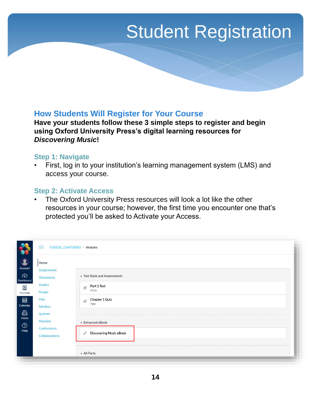### <span id="page-13-0"></span>**How Students Will Register for Your Course**

**Have your students follow these 3 simple steps to register and begin using Oxford University Press's digital learning resources for**  *Discovering Music***!**

#### **Step 1: Navigate**

• First, log in to your institution's learning management system (LMS) and access your course.

#### **Step 2: Activate Access**

The Oxford University Press resources will look a lot like the other resources in your course; however, the first time you encounter one that's protected you'll be asked to Activate your Access.

|                           | ≡<br>TODD2E_CARTDEMO > Modules |                                                |
|---------------------------|--------------------------------|------------------------------------------------|
| $\Omega$<br>Account       | Home<br><b>Assignments</b>     |                                                |
| $\mathbb{C}$<br>Dashboard | <b>Discussions</b>             | Fest Bank and Assessments                      |
| 凰<br>Courses              | Grades<br>People               | Part 1 Test<br>$\mathbb{Z}^2$<br>37 pts        |
| ■                         | Files                          | <b>Chapter 1 Quiz</b><br>$\mathbb{Z}$<br>7 pts |
| Calendar<br>画             | Syllabus<br>Quizzes            |                                                |
| Inbox<br>$\odot$          | <b>Modules</b><br>Conferences  | ▼ Enhanced eBook                               |
| Help                      | <b>Collaborations</b>          | <b>Discovering Music eBook</b><br>P            |
|                           |                                |                                                |
|                           |                                | • All Parts                                    |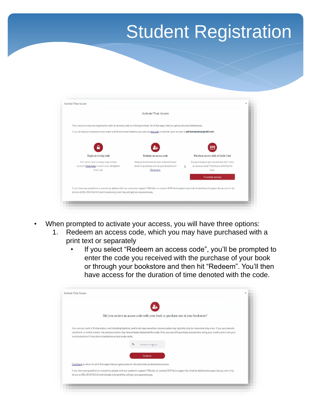|                                                                                                                                                            | <b>Activate Your Access</b>              |   |                                            |
|------------------------------------------------------------------------------------------------------------------------------------------------------------|------------------------------------------|---|--------------------------------------------|
| This resource requires registration with an access code or online purchase. All of the ways that you get access are listed below.                          |                                          |   |                                            |
| If you already purchased access under a different email address you can use this link to transfer your access to adrianmaszko@gmail.com.                   |                                          |   |                                            |
|                                                                                                                                                            |                                          |   |                                            |
|                                                                                                                                                            |                                          |   |                                            |
| Begin an 14-day trial                                                                                                                                      | Redeem an access code                    |   | Purchase access with a Credit Card         |
| Not sure if you're ready to purchase                                                                                                                       | Did you receive an access code with your |   | Are you ready to get access but don't have |
| access? Click here to start a no-obligation                                                                                                                | book or purchase one at your bookstore?  | D | an access code? Checkout with PayPal       |
| free trial                                                                                                                                                 | Click here.                              |   | here.                                      |
|                                                                                                                                                            |                                          |   | Purchase access                            |
| If you have any questions or concerns, please visit our customer support FAQ site, or contact OUP tech support by email at dashboard.support@oup.com or by |                                          |   |                                            |
| phone at 855.281.8749 (US and Canada only) and they will get you squared away.                                                                             |                                          |   |                                            |
|                                                                                                                                                            |                                          |   |                                            |

- When prompted to activate your access, you will have three options:
	- 1. Redeem an access code, which you may have purchased with a print text or separately
		- If you select "Redeem an access code", you'll be prompted to enter the code you received with the purchase of your book or through your bookstore and then hit "Redeem". You'll then have access for the duration of time denoted with the code.

| Ч,                                                                                                                                                                                                                                                                                                                                                                                               |  |
|--------------------------------------------------------------------------------------------------------------------------------------------------------------------------------------------------------------------------------------------------------------------------------------------------------------------------------------------------------------------------------------------------|--|
| Did you receive an access code with your book or purchase one at your bookstore?                                                                                                                                                                                                                                                                                                                 |  |
| Your access code is 16 characters, not including hyphens, and is not case sensitive. Access codes may typically only be redeemed only once. If you purchased a<br>used book or rented a book, the previous owner may have already redeemed the code. If so, you can still purchase access here using your credit card or ask your<br>local bookstore if they stock standalone access code cards. |  |
| $\alpha$<br>XXXXXXXXX-XXXXXXXXXXX                                                                                                                                                                                                                                                                                                                                                                |  |
| Redeem                                                                                                                                                                                                                                                                                                                                                                                           |  |
| Click here to return to all of the ways that you get access to this and other protected resources.                                                                                                                                                                                                                                                                                               |  |
| If you have any questions or concerns, please visit our customer support FAO site, or contact OUP tech support by email at dashboard.support@oup.com or by<br>phone at 855.281.8749 (US and Canada only) and they will get you squared away.                                                                                                                                                     |  |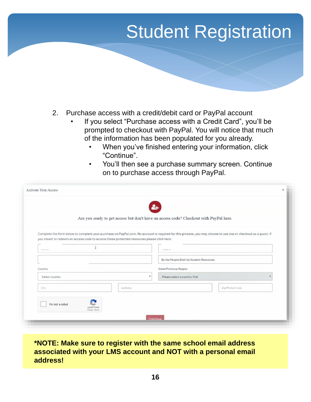- 2. Purchase access with a credit/debit card or PayPal account
	- If you select "Purchase access with a Credit Card", you'll be prompted to checkout with PayPal. You will notice that much of the information has been populated for you already.
		- When you've finished entering your information, click "Continue".
		- You'll then see a purchase summary screen. Continue on to purchase access through PayPal.

|                  |  | Are you ready to get access but don't have an access code? Checkout with PayPal here.     | Ŀ.                                       |                                                                                                                                                                |  |  |  |
|------------------|--|-------------------------------------------------------------------------------------------|------------------------------------------|----------------------------------------------------------------------------------------------------------------------------------------------------------------|--|--|--|
|                  |  |                                                                                           |                                          |                                                                                                                                                                |  |  |  |
|                  |  |                                                                                           |                                          | Complete the form below to complete your purchase on PayPal.com. No account is required for this process, you may choose to use one or checkout as a quest. If |  |  |  |
|                  |  | you meant to redeem an access code to access these protected resources please click here. |                                          |                                                                                                                                                                |  |  |  |
| <b>SCIEDARIO</b> |  |                                                                                           |                                          |                                                                                                                                                                |  |  |  |
|                  |  |                                                                                           | By the People Brief 4e Student Resources |                                                                                                                                                                |  |  |  |
| Country:         |  |                                                                                           | State/Province/Region                    |                                                                                                                                                                |  |  |  |
| Select country   |  | ٠                                                                                         | Please select a country first            |                                                                                                                                                                |  |  |  |
| City             |  | Address                                                                                   |                                          | Zip/Postal Code                                                                                                                                                |  |  |  |
|                  |  |                                                                                           |                                          |                                                                                                                                                                |  |  |  |

### **\*NOTE: Make sure to register with the same school email address associated with your LMS account and NOT with a personal email address!**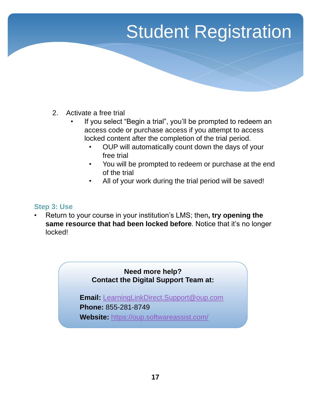- 2. Activate a free trial
	- If you select "Begin a trial", you'll be prompted to redeem an access code or purchase access if you attempt to access locked content after the completion of the trial period.
		- OUP will automatically count down the days of your free trial
		- You will be prompted to redeem or purchase at the end of the trial
		- All of your work during the trial period will be saved!

### **Step 3: Use**

• Return to your course in your institution's LMS; then**, try opening the same resource that had been locked before**. Notice that it's no longer locked!

### **Need more help? Contact the Digital Support Team at:**

**Email:** [LearningLinkDirect.Support@oup.com](mailto:LearningLinkDirect.Support@oup.com) **Phone:** 855-281-8749 **Website:** <https://oup.softwareassist.com/>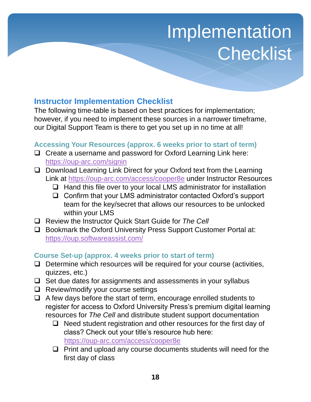# **Implementation Checklist**

### <span id="page-17-0"></span>**Instructor Implementation Checklist**

The following time-table is based on best practices for implementation; however, if you need to implement these sources in a narrower timeframe, our Digital Support Team is there to get you set up in no time at all!

### **Accessing Your Resources (approx. 6 weeks prior to start of term)**

- ❑ Create a username and password for Oxford Learning Link here: <https://oup-arc.com/signin>
- ❑ Download Learning Link Direct for your Oxford text from the Learning Link at <https://oup-arc.com/access/cooper8e> under Instructor Resources
	- ❑ Hand this file over to your local LMS administrator for installation
	- ❑ Confirm that your LMS administrator contacted Oxford's support team for the key/secret that allows our resources to be unlocked within your LMS
- ❑ Review the Instructor Quick Start Guide for *The Cell*
- ❑ Bookmark the Oxford University Press Support Customer Portal at: <https://oup.softwareassist.com/>

### **Course Set-up (approx. 4 weeks prior to start of term)**

- ❑ Determine which resources will be required for your course (activities, quizzes, etc.)
- ❑ Set due dates for assignments and assessments in your syllabus
- ❑ Review/modify your course settings
- $\Box$  A few days before the start of term, encourage enrolled students to register for access to Oxford University Press's premium digital learning resources for *The Cell* and distribute student support documentation
	- ❑ Need student registration and other resources for the first day of class? Check out your title's resource hub here: <https://oup-arc.com/access/cooper8e>
	- ❑ Print and upload any course documents students will need for the first day of class